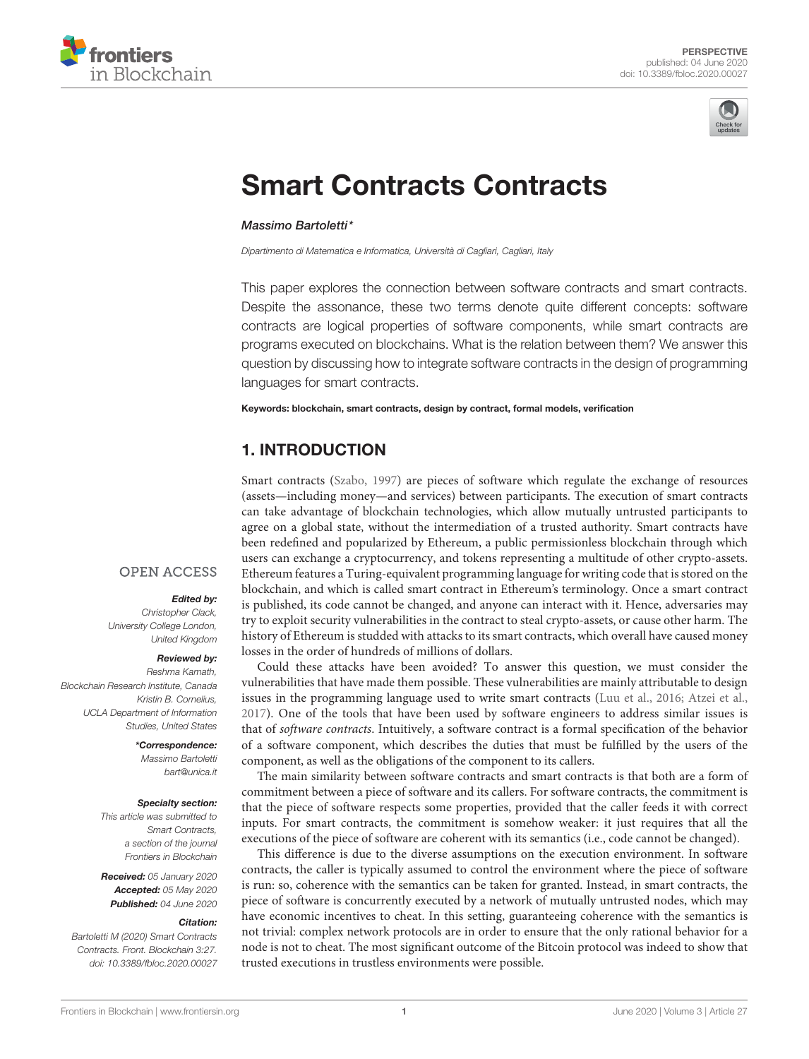



# [Smart Contracts Contracts](https://www.frontiersin.org/articles/10.3389/fbloc.2020.00027/full)

#### [Massimo Bartoletti\\*](http://loop.frontiersin.org/people/570157/overview)

Dipartimento di Matematica e Informatica, Università di Cagliari, Cagliari, Italy

This paper explores the connection between software contracts and smart contracts. Despite the assonance, these two terms denote quite different concepts: software contracts are logical properties of software components, while smart contracts are programs executed on blockchains. What is the relation between them? We answer this question by discussing how to integrate software contracts in the design of programming languages for smart contracts.

Keywords: blockchain, smart contracts, design by contract, formal models, verification

### 1. INTRODUCTION

Smart contracts [\(Szabo, 1997\)](#page-4-0) are pieces of software which regulate the exchange of resources (assets—including money—and services) between participants. The execution of smart contracts can take advantage of blockchain technologies, which allow mutually untrusted participants to agree on a global state, without the intermediation of a trusted authority. Smart contracts have been redefined and popularized by Ethereum, a public permissionless blockchain through which users can exchange a cryptocurrency, and tokens representing a multitude of other crypto-assets. Ethereum features a Turing-equivalent programming language for writing code that is stored on the blockchain, and which is called smart contract in Ethereum's terminology. Once a smart contract is published, its code cannot be changed, and anyone can interact with it. Hence, adversaries may try to exploit security vulnerabilities in the contract to steal crypto-assets, or cause other harm. The history of Ethereum is studded with attacks to its smart contracts, which overall have caused money losses in the order of hundreds of millions of dollars.

Could these attacks have been avoided? To answer this question, we must consider the vulnerabilities that have made them possible. These vulnerabilities are mainly attributable to design issues in the programming language used to write smart contracts [\(Luu et al., 2016;](#page-4-1) [Atzei et al.,](#page-4-2) [2017\)](#page-4-2). One of the tools that have been used by software engineers to address similar issues is that of software contracts. Intuitively, a software contract is a formal specification of the behavior of a software component, which describes the duties that must be fulfilled by the users of the component, as well as the obligations of the component to its callers.

The main similarity between software contracts and smart contracts is that both are a form of commitment between a piece of software and its callers. For software contracts, the commitment is that the piece of software respects some properties, provided that the caller feeds it with correct inputs. For smart contracts, the commitment is somehow weaker: it just requires that all the executions of the piece of software are coherent with its semantics (i.e., code cannot be changed).

This difference is due to the diverse assumptions on the execution environment. In software contracts, the caller is typically assumed to control the environment where the piece of software is run: so, coherence with the semantics can be taken for granted. Instead, in smart contracts, the piece of software is concurrently executed by a network of mutually untrusted nodes, which may have economic incentives to cheat. In this setting, guaranteeing coherence with the semantics is not trivial: complex network protocols are in order to ensure that the only rational behavior for a node is not to cheat. The most significant outcome of the Bitcoin protocol was indeed to show that trusted executions in trustless environments were possible.

#### **OPEN ACCESS**

#### Edited by:

Christopher Clack, University College London, United Kingdom

#### Reviewed by:

Reshma Kamath, Blockchain Research Institute, Canada Kristin B. Cornelius, UCLA Department of Information Studies, United States

#### \*Correspondence:

Massimo Bartoletti [bart@unica.it](mailto:bart@unica.it)

#### Specialty section:

This article was submitted to Smart Contracts, a section of the journal Frontiers in Blockchain

Received: 05 January 2020 Accepted: 05 May 2020 Published: 04 June 2020

#### Citation:

Bartoletti M (2020) Smart Contracts Contracts. Front. Blockchain 3:27. doi: [10.3389/fbloc.2020.00027](https://doi.org/10.3389/fbloc.2020.00027)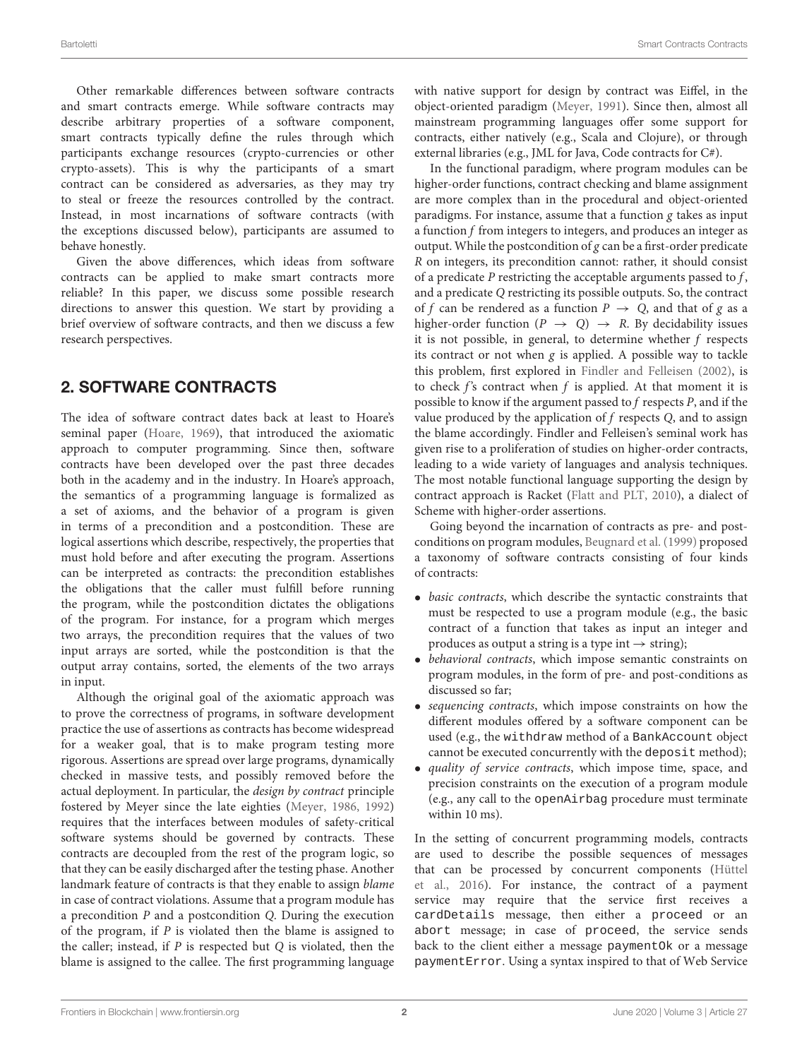Other remarkable differences between software contracts and smart contracts emerge. While software contracts may describe arbitrary properties of a software component, smart contracts typically define the rules through which participants exchange resources (crypto-currencies or other crypto-assets). This is why the participants of a smart contract can be considered as adversaries, as they may try to steal or freeze the resources controlled by the contract. Instead, in most incarnations of software contracts (with the exceptions discussed below), participants are assumed to behave honestly.

Given the above differences, which ideas from software contracts can be applied to make smart contracts more reliable? In this paper, we discuss some possible research directions to answer this question. We start by providing a brief overview of software contracts, and then we discuss a few research perspectives.

### 2. SOFTWARE CONTRACTS

The idea of software contract dates back at least to Hoare's seminal paper [\(Hoare, 1969\)](#page-4-3), that introduced the axiomatic approach to computer programming. Since then, software contracts have been developed over the past three decades both in the academy and in the industry. In Hoare's approach, the semantics of a programming language is formalized as a set of axioms, and the behavior of a program is given in terms of a precondition and a postcondition. These are logical assertions which describe, respectively, the properties that must hold before and after executing the program. Assertions can be interpreted as contracts: the precondition establishes the obligations that the caller must fulfill before running the program, while the postcondition dictates the obligations of the program. For instance, for a program which merges two arrays, the precondition requires that the values of two input arrays are sorted, while the postcondition is that the output array contains, sorted, the elements of the two arrays in input.

Although the original goal of the axiomatic approach was to prove the correctness of programs, in software development practice the use of assertions as contracts has become widespread for a weaker goal, that is to make program testing more rigorous. Assertions are spread over large programs, dynamically checked in massive tests, and possibly removed before the actual deployment. In particular, the design by contract principle fostered by Meyer since the late eighties [\(Meyer, 1986,](#page-4-4) [1992\)](#page-4-5) requires that the interfaces between modules of safety-critical software systems should be governed by contracts. These contracts are decoupled from the rest of the program logic, so that they can be easily discharged after the testing phase. Another landmark feature of contracts is that they enable to assign blame in case of contract violations. Assume that a program module has a precondition P and a postcondition Q. During the execution of the program, if  $P$  is violated then the blame is assigned to the caller; instead, if  $P$  is respected but  $Q$  is violated, then the blame is assigned to the callee. The first programming language with native support for design by contract was Eiffel, in the object-oriented paradigm [\(Meyer, 1991\)](#page-4-6). Since then, almost all mainstream programming languages offer some support for contracts, either natively (e.g., Scala and Clojure), or through external libraries (e.g., JML for Java, Code contracts for C#).

In the functional paradigm, where program modules can be higher-order functions, contract checking and blame assignment are more complex than in the procedural and object-oriented paradigms. For instance, assume that a function  $g$  takes as input a function f from integers to integers, and produces an integer as output. While the postcondition of  $g$  can be a first-order predicate R on integers, its precondition cannot: rather, it should consist of a predicate  $P$  restricting the acceptable arguments passed to  $f$ , and a predicate Q restricting its possible outputs. So, the contract of f can be rendered as a function  $P \rightarrow Q$ , and that of g as a higher-order function  $(P \rightarrow Q) \rightarrow R$ . By decidability issues it is not possible, in general, to determine whether  $f$  respects its contract or not when  $g$  is applied. A possible way to tackle this problem, first explored in [Findler and Felleisen \(2002\)](#page-4-7), is to check  $f$ 's contract when  $f$  is applied. At that moment it is possible to know if the argument passed to f respects P, and if the value produced by the application of  $f$  respects  $Q$ , and to assign the blame accordingly. Findler and Felleisen's seminal work has given rise to a proliferation of studies on higher-order contracts, leading to a wide variety of languages and analysis techniques. The most notable functional language supporting the design by contract approach is Racket [\(Flatt and PLT, 2010\)](#page-4-8), a dialect of Scheme with higher-order assertions.

Going beyond the incarnation of contracts as pre- and postconditions on program modules, [Beugnard et al. \(1999\)](#page-4-9) proposed a taxonomy of software contracts consisting of four kinds of contracts:

- basic contracts, which describe the syntactic constraints that must be respected to use a program module (e.g., the basic contract of a function that takes as input an integer and produces as output a string is a type int  $\rightarrow$  string);
- behavioral contracts, which impose semantic constraints on program modules, in the form of pre- and post-conditions as discussed so far;
- sequencing contracts, which impose constraints on how the different modules offered by a software component can be used (e.g., the withdraw method of a BankAccount object cannot be executed concurrently with the deposit method);
- quality of service contracts, which impose time, space, and precision constraints on the execution of a program module (e.g., any call to the openAirbag procedure must terminate within 10 ms).

In the setting of concurrent programming models, contracts are used to describe the possible sequences of messages that can be processed by concurrent components (Hüttel et al., [2016\)](#page-4-10). For instance, the contract of a payment service may require that the service first receives a cardDetails message, then either a proceed or an abort message; in case of proceed, the service sends back to the client either a message paymentOk or a message paymentError. Using a syntax inspired to that of Web Service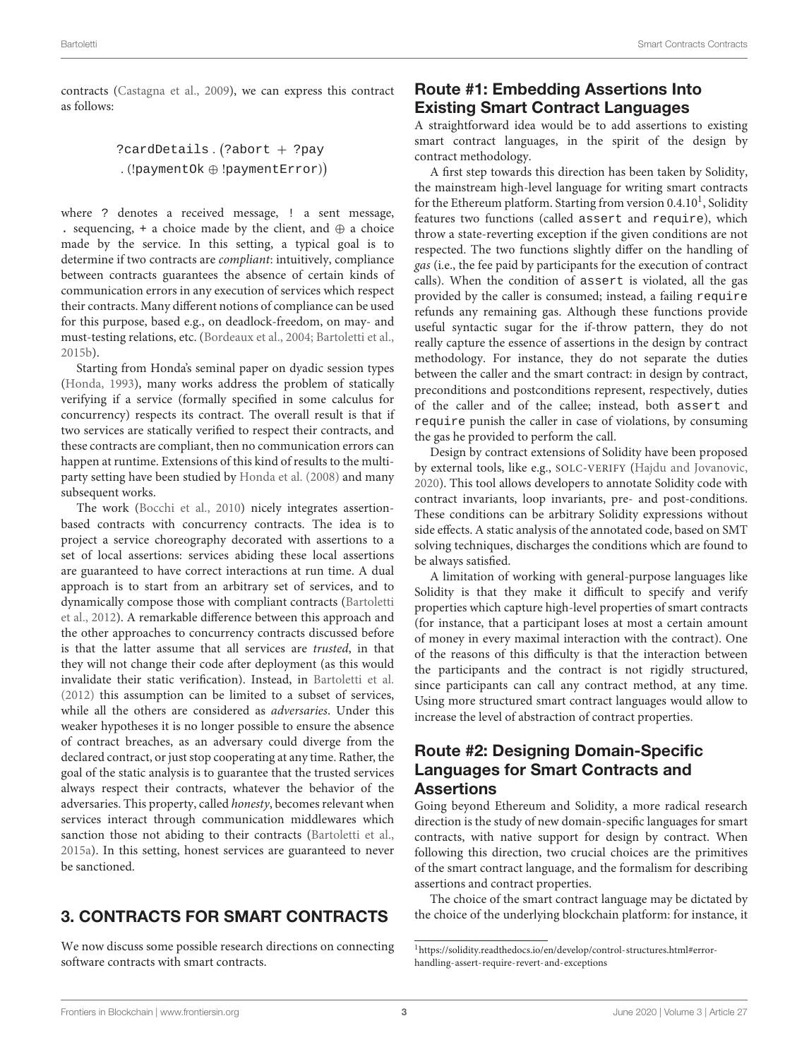contracts [\(Castagna et al., 2009\)](#page-4-11), we can express this contract as follows:

```
?cardDetails. (?abort + ?pay
. (!paymentOk ⊕ !paymentError)
```
where ? denotes a received message, ! a sent message, . sequencing, + a choice made by the client, and  $oplus$  a choice made by the service. In this setting, a typical goal is to determine if two contracts are compliant: intuitively, compliance between contracts guarantees the absence of certain kinds of communication errors in any execution of services which respect their contracts. Many different notions of compliance can be used for this purpose, based e.g., on deadlock-freedom, on may- and must-testing relations, etc. [\(Bordeaux et al., 2004;](#page-4-12) [Bartoletti et al.,](#page-4-13) [2015b\)](#page-4-13).

Starting from Honda's seminal paper on dyadic session types [\(Honda, 1993\)](#page-4-14), many works address the problem of statically verifying if a service (formally specified in some calculus for concurrency) respects its contract. The overall result is that if two services are statically verified to respect their contracts, and these contracts are compliant, then no communication errors can happen at runtime. Extensions of this kind of results to the multiparty setting have been studied by [Honda et al. \(2008\)](#page-4-15) and many subsequent works.

The work [\(Bocchi et al., 2010\)](#page-4-16) nicely integrates assertionbased contracts with concurrency contracts. The idea is to project a service choreography decorated with assertions to a set of local assertions: services abiding these local assertions are guaranteed to have correct interactions at run time. A dual approach is to start from an arbitrary set of services, and to dynamically compose those with compliant contracts (Bartoletti et al., [2012\)](#page-4-17). A remarkable difference between this approach and the other approaches to concurrency contracts discussed before is that the latter assume that all services are trusted, in that they will not change their code after deployment (as this would invalidate their static verification). Instead, in [Bartoletti et al.](#page-4-17) [\(2012\)](#page-4-17) this assumption can be limited to a subset of services, while all the others are considered as adversaries. Under this weaker hypotheses it is no longer possible to ensure the absence of contract breaches, as an adversary could diverge from the declared contract, or just stop cooperating at any time. Rather, the goal of the static analysis is to guarantee that the trusted services always respect their contracts, whatever the behavior of the adversaries. This property, called honesty, becomes relevant when services interact through communication middlewares which sanction those not abiding to their contracts [\(Bartoletti et al.,](#page-4-18) [2015a\)](#page-4-18). In this setting, honest services are guaranteed to never be sanctioned.

### 3. CONTRACTS FOR SMART CONTRACTS

We now discuss some possible research directions on connecting software contracts with smart contracts.

### Route #1: Embedding Assertions Into Existing Smart Contract Languages

A straightforward idea would be to add assertions to existing smart contract languages, in the spirit of the design by contract methodology.

A first step towards this direction has been taken by Solidity, the mainstream high-level language for writing smart contracts for the Ethereum platform. Starting from version 0.4.[1](#page-2-0)0<sup>1</sup>, Solidity features two functions (called assert and require), which throw a state-reverting exception if the given conditions are not respected. The two functions slightly differ on the handling of gas (i.e., the fee paid by participants for the execution of contract calls). When the condition of assert is violated, all the gas provided by the caller is consumed; instead, a failing require refunds any remaining gas. Although these functions provide useful syntactic sugar for the if-throw pattern, they do not really capture the essence of assertions in the design by contract methodology. For instance, they do not separate the duties between the caller and the smart contract: in design by contract, preconditions and postconditions represent, respectively, duties of the caller and of the callee; instead, both assert and require punish the caller in case of violations, by consuming the gas he provided to perform the call.

Design by contract extensions of Solidity have been proposed by external tools, like e.g., SOLC-VERIFY [\(Hajdu and Jovanovic,](#page-4-19) [2020\)](#page-4-19). This tool allows developers to annotate Solidity code with contract invariants, loop invariants, pre- and post-conditions. These conditions can be arbitrary Solidity expressions without side effects. A static analysis of the annotated code, based on SMT solving techniques, discharges the conditions which are found to be always satisfied.

A limitation of working with general-purpose languages like Solidity is that they make it difficult to specify and verify properties which capture high-level properties of smart contracts (for instance, that a participant loses at most a certain amount of money in every maximal interaction with the contract). One of the reasons of this difficulty is that the interaction between the participants and the contract is not rigidly structured, since participants can call any contract method, at any time. Using more structured smart contract languages would allow to increase the level of abstraction of contract properties.

#### Route #2: Designing Domain-Specific Languages for Smart Contracts and **Assertions**

Going beyond Ethereum and Solidity, a more radical research direction is the study of new domain-specific languages for smart contracts, with native support for design by contract. When following this direction, two crucial choices are the primitives of the smart contract language, and the formalism for describing assertions and contract properties.

The choice of the smart contract language may be dictated by the choice of the underlying blockchain platform: for instance, it

<span id="page-2-0"></span><sup>1</sup>[https://solidity.readthedocs.io/en/develop/control-structures.html#error](https://solidity.readthedocs.io/en/develop/control-structures.html#error-handling-assert-require-revert-and-exceptions)[handling-assert-require-revert-and-exceptions](https://solidity.readthedocs.io/en/develop/control-structures.html#error-handling-assert-require-revert-and-exceptions)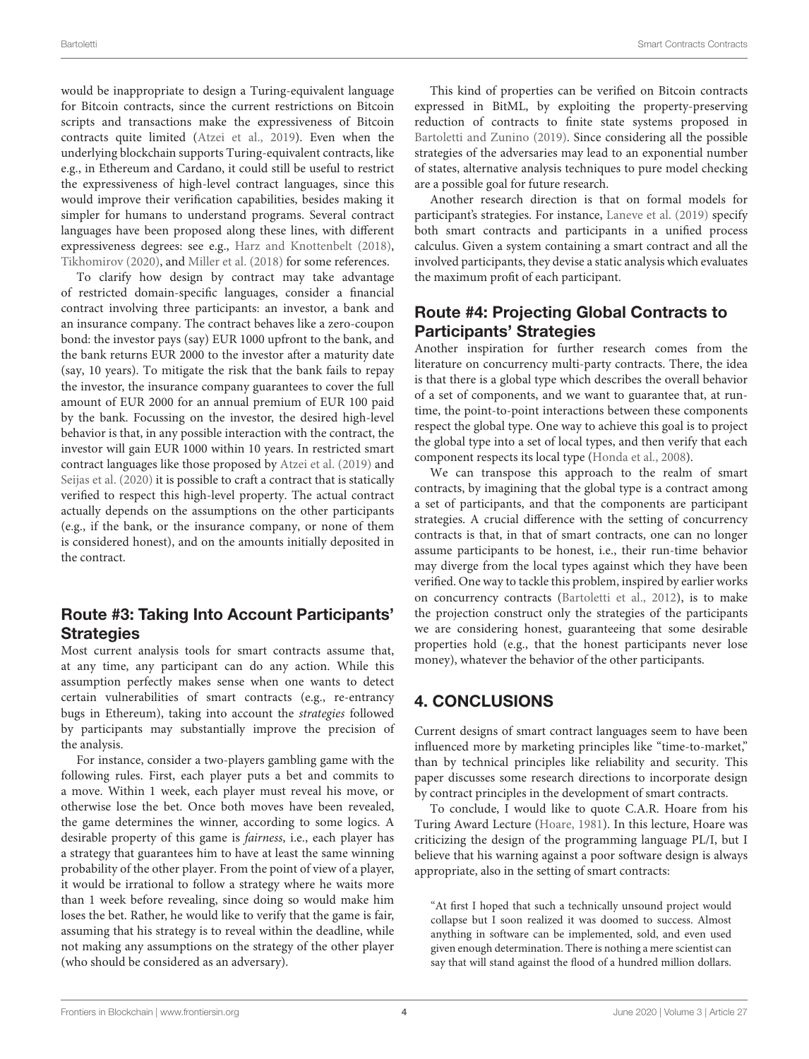would be inappropriate to design a Turing-equivalent language for Bitcoin contracts, since the current restrictions on Bitcoin scripts and transactions make the expressiveness of Bitcoin contracts quite limited [\(Atzei et al., 2019\)](#page-4-20). Even when the underlying blockchain supports Turing-equivalent contracts, like e.g., in Ethereum and Cardano, it could still be useful to restrict the expressiveness of high-level contract languages, since this would improve their verification capabilities, besides making it simpler for humans to understand programs. Several contract languages have been proposed along these lines, with different expressiveness degrees: see e.g., [Harz and Knottenbelt \(2018\)](#page-4-21), [Tikhomirov \(2020\)](#page-4-22), and [Miller et al. \(2018\)](#page-4-23) for some references.

To clarify how design by contract may take advantage of restricted domain-specific languages, consider a financial contract involving three participants: an investor, a bank and an insurance company. The contract behaves like a zero-coupon bond: the investor pays (say) EUR 1000 upfront to the bank, and the bank returns EUR 2000 to the investor after a maturity date (say, 10 years). To mitigate the risk that the bank fails to repay the investor, the insurance company guarantees to cover the full amount of EUR 2000 for an annual premium of EUR 100 paid by the bank. Focussing on the investor, the desired high-level behavior is that, in any possible interaction with the contract, the investor will gain EUR 1000 within 10 years. In restricted smart contract languages like those proposed by [Atzei et al. \(2019\)](#page-4-20) and [Seijas et al. \(2020\)](#page-4-24) it is possible to craft a contract that is statically verified to respect this high-level property. The actual contract actually depends on the assumptions on the other participants (e.g., if the bank, or the insurance company, or none of them is considered honest), and on the amounts initially deposited in the contract.

### Route #3: Taking Into Account Participants' **Strategies**

Most current analysis tools for smart contracts assume that, at any time, any participant can do any action. While this assumption perfectly makes sense when one wants to detect certain vulnerabilities of smart contracts (e.g., re-entrancy bugs in Ethereum), taking into account the strategies followed by participants may substantially improve the precision of the analysis.

For instance, consider a two-players gambling game with the following rules. First, each player puts a bet and commits to a move. Within 1 week, each player must reveal his move, or otherwise lose the bet. Once both moves have been revealed, the game determines the winner, according to some logics. A desirable property of this game is fairness, i.e., each player has a strategy that guarantees him to have at least the same winning probability of the other player. From the point of view of a player, it would be irrational to follow a strategy where he waits more than 1 week before revealing, since doing so would make him loses the bet. Rather, he would like to verify that the game is fair, assuming that his strategy is to reveal within the deadline, while not making any assumptions on the strategy of the other player (who should be considered as an adversary).

This kind of properties can be verified on Bitcoin contracts expressed in BitML, by exploiting the property-preserving reduction of contracts to finite state systems proposed in [Bartoletti and Zunino \(2019\)](#page-4-25). Since considering all the possible strategies of the adversaries may lead to an exponential number of states, alternative analysis techniques to pure model checking are a possible goal for future research.

Another research direction is that on formal models for participant's strategies. For instance, [Laneve et al. \(2019\)](#page-4-26) specify both smart contracts and participants in a unified process calculus. Given a system containing a smart contract and all the involved participants, they devise a static analysis which evaluates the maximum profit of each participant.

# Route #4: Projecting Global Contracts to Participants' Strategies

Another inspiration for further research comes from the literature on concurrency multi-party contracts. There, the idea is that there is a global type which describes the overall behavior of a set of components, and we want to guarantee that, at runtime, the point-to-point interactions between these components respect the global type. One way to achieve this goal is to project the global type into a set of local types, and then verify that each component respects its local type [\(Honda et al., 2008\)](#page-4-15).

We can transpose this approach to the realm of smart contracts, by imagining that the global type is a contract among a set of participants, and that the components are participant strategies. A crucial difference with the setting of concurrency contracts is that, in that of smart contracts, one can no longer assume participants to be honest, i.e., their run-time behavior may diverge from the local types against which they have been verified. One way to tackle this problem, inspired by earlier works on concurrency contracts [\(Bartoletti et al., 2012\)](#page-4-17), is to make the projection construct only the strategies of the participants we are considering honest, guaranteeing that some desirable properties hold (e.g., that the honest participants never lose money), whatever the behavior of the other participants.

# 4. CONCLUSIONS

Current designs of smart contract languages seem to have been influenced more by marketing principles like "time-to-market," than by technical principles like reliability and security. This paper discusses some research directions to incorporate design by contract principles in the development of smart contracts.

To conclude, I would like to quote C.A.R. Hoare from his Turing Award Lecture [\(Hoare, 1981\)](#page-4-27). In this lecture, Hoare was criticizing the design of the programming language PL/I, but I believe that his warning against a poor software design is always appropriate, also in the setting of smart contracts:

"At first I hoped that such a technically unsound project would collapse but I soon realized it was doomed to success. Almost anything in software can be implemented, sold, and even used given enough determination. There is nothing a mere scientist can say that will stand against the flood of a hundred million dollars.